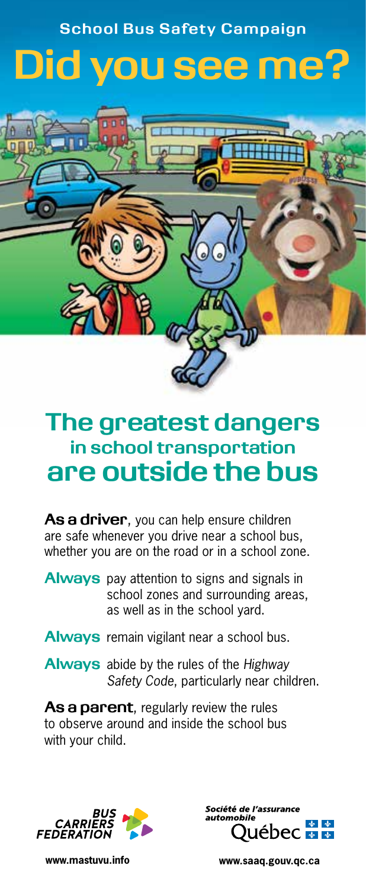## **School Bus Safety Campaign Did you see me?**



## **The greatest dangers in school transportation are outside the bus**

**As a driver**, you can help ensure children are safe whenever you drive near a school bus, whether you are on the road or in a school zone.

**Always** pay attention to signs and signals in school zones and surrounding areas, as well as in the school yard.

- **Always** remain vigilant near a school bus.
- **Always** abide by the rules of the *Highway Safety Code*, particularly near children.

**As a parent**, regularly review the rules to observe around and inside the school bus with your child.





**www.mastuvu.info www.saaq.gouv.qc.ca**